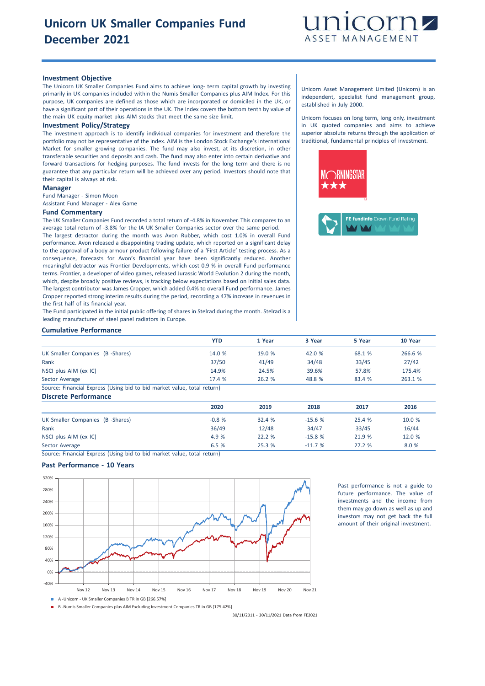

## **Investment Objective**

The Unicorn UK Smaller Companies Fund aims to achieve long- term capital growth by investing primarily in UK companies included within the Numis Smaller Companies plus AIM Index. For this purpose, UK companies are defined as those which are incorporated or domiciled in the UK, or have a significant part of their operations in the UK. The Index covers the bottom tenth by value of the main UK equity market plus AIM stocks that meet the same size limit.

#### **Investment Policy/Strategy**

The investment approach is to identify individual companies for investment and therefore the portfolio may not be representative of the index. AIM is the London Stock Exchange's International Market for smaller growing companies. The fund may also invest, at its discretion, in other transferable securities and deposits and cash. The fund may also enter into certain derivative and forward transactions for hedging purposes. The fund invests for the long term and there is no guarantee that any particular return will be achieved over any period. Investors should note that their capital is always at risk.

## **Manager**

Fund Manager - Simon Moon Assistant Fund Manager - Alex Game

#### **Fund Commentary**

The UK Smaller Companies Fund recorded a total return of -4.8% in November. This compares to an average total return of -3.8% for the IA UK Smaller Companies sector over the same period.

The largest detractor during the month was Avon Rubber, which cost 1.0% in overall Fund performance. Avon released a disappointing trading update, which reported on a significant delay to the approval of a body armour product following failure of a 'First Article' testing process. As a consequence, forecasts for Avon's financial year have been significantly reduced. Another meaningful detractor was Frontier Developments, which cost 0.9 % in overall Fund performance terms. Frontier, a developer of video games, released Jurassic World Evolution 2 during the month, which, despite broadly positive reviews, is tracking below expectations based on initial sales data. The largest contributor was James Cropper, which added 0.4% to overall Fund performance. James Cropper reported strong interim results during the period, recording a 47% increase in revenues in the first half of its financial year.

The Fund participated in the initial public offering of shares in Stelrad during the month. Stelrad is a leading manufacturer of steel panel radiators in Europe.

### **Cumulative Performance**

|                                  | <b>YTD</b> | 1 Year | 3 Year | 5 Year | 10 Year |
|----------------------------------|------------|--------|--------|--------|---------|
| UK Smaller Companies (B -Shares) | 14.0 %     | 19.0 % | 42.0 % | 68.1 % | 266.6 % |
| Rank                             | 37/50      | 41/49  | 34/48  | 33/45  | 27/42   |
| NSCI plus AIM (ex IC)            | 14.9%      | 24.5%  | 39.6%  | 57.8%  | 175.4%  |
| Sector Average                   | 17.4 %     | 26.2%  | 48.8 % | 83.4 % | 263.1 % |

Source: Financial Express (Using bid to bid market value, total return) **Discrete Performance**

| <b>DISCIELE FEITUITIIQIILE</b>   |         |        |          |        |        |
|----------------------------------|---------|--------|----------|--------|--------|
|                                  | 2020    | 2019   | 2018     | 2017   | 2016   |
| UK Smaller Companies (B -Shares) | $-0.8%$ | 32.4 % | $-15.6%$ | 25.4 % | 10.0 % |
| Rank                             | 36/49   | 12/48  | 34/47    | 33/45  | 16/44  |
| NSCI plus AIM (ex IC)            | 4.9 %   | 22.2%  | $-15.8%$ | 21.9 % | 12.0 % |
| Sector Average                   | 6.5 %   | 25.3 % | $-11.7%$ | 27.2%  | 8.0 %  |

Source: Financial Express (Using bid to bid market value, total return)

## **Past Performance - 10 Years**



B -Numis Smaller Companies plus AIM Excluding Investment Companies TR in GB [175.42%]

30/11/2011 - 30/11/2021 Data from FE2021

Unicorn Asset Management Limited (Unicorn) is an independent, specialist fund management group, established in July 2000.

Unicorn focuses on long term, long only, investment in UK quoted companies and aims to achieve superior absolute returns through the application of traditional, fundamental principles of investment.

> Past performance is not a guide to future performance. The value of investments and the income from them may go down as well as up and investors may not get back the full amount of their original investment.